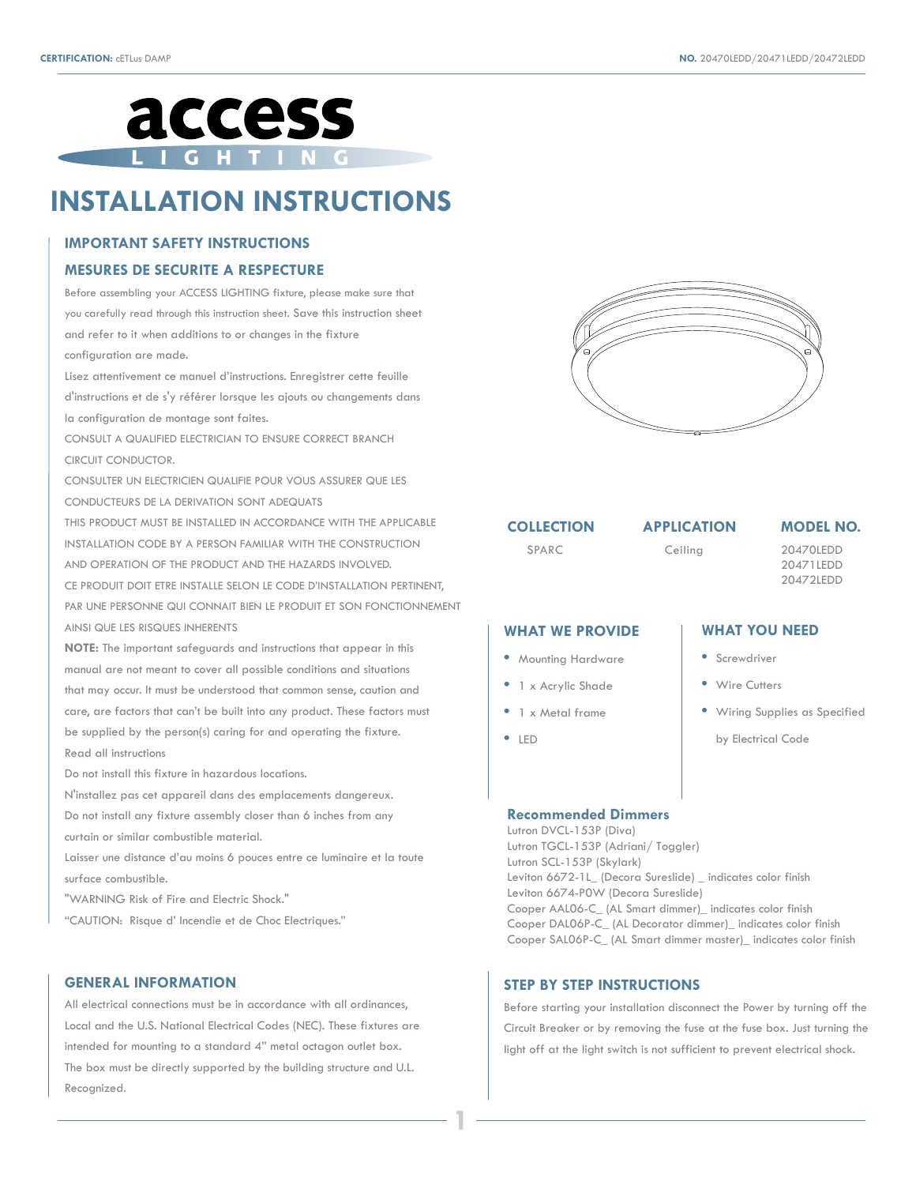

# **INSTALLATION INSTRUCTIONS**

## **IMPORTANT SAFETY INSTRUCTIONS**

#### **MESURES DE SECURITE A RESPECTURE**

Before assembling your ACCESS LIGHTING fixture, please make sure that you carefully read through this instruction sheet. Save this instruction sheet and refer to it when additions to or changes in the fixture configuration are made.

Lisez attentivement ce manuel d'instructions. Enregistrer cette feuille d'instructions et de s'y référer lorsque les ajouts ou changements dans la configuration de montage sont faites.

CONSULT A QUALIFIED ELECTRICIAN TO ENSURE CORRECT BRANCH CIRCUIT CONDUCTOR.

CONSULTER UN ELECTRICIEN QUALIFIE POUR VOUS ASSURER QUE LES CONDUCTEURS DE LA DERIVATION SONT ADEQUATS

THIS PRODUCT MUST BE INSTALLED IN ACCORDANCE WITH THE APPLICABLE INSTALLATION CODE BY A PERSON FAMILIAR WITH THE CONSTRUCTION AND OPERATION OF THE PRODUCT AND THE HAZARDS INVOLVED.

CE PRODUIT DOIT ETRE INSTALLE SELON LE CODE D'INSTALLATION PERTINENT, PAR UNE PERSONNE QUI CONNAIT BIEN LE PRODUIT ET SON FONCTIONNEMENT AINSI QUE LES RISQUES INHERENTS

**NOTE:** The important safeguards and instructions that appear in this manual are not meant to cover all possible conditions and situations that may occur. It must be understood that common sense, caution and care, are factors that can't be built into any product. These factors must be supplied by the person(s) caring for and operating the fixture. Read all instructions

Do not install this fixture in hazardous locations.

N'installez pas cet appareil dans des emplacements dangereux. Do not install any fixture assembly closer than 6 inches from any

curtain or similar combustible material.

Laisser une distance d'au moins 6 pouces entre ce luminaire et la toute surface combustible.

"WARNING Risk of Fire and Electric Shock."

"CAUTION: Risque d' Incendie et de Choc Electriques."

### **GENERAL INFORMATION**

All electrical connections must be in accordance with all ordinances, Local and the U.S. National Electrical Codes (NEC). These fixtures are intended for mounting to a standard 4" metal octagon outlet box. The box must be directly supported by the building structure and U.L. Recognized.



**COLLECTION** 

**APPLICATION MODEL NO.**

20471LEDD 20472LEDD

SPARC Ceiling 20470LEDD Ceiling

#### **WHAT YOU NEED WHAT WE PROVIDE**

- Screwdriver
- Wire Cutters
- Wiring Supplies as Specified

by Electrical Code

# **•** LED

**•** Mounting Hardware **•** 1 x Acrylic Shade **•** 1 x Metal frame

#### **Recommended Dimmers**

Lutron DVCL-153P (Diva) Lutron TGCL-153P (Adriani/ Toggler) Lutron SCL-153P (Skylark) Leviton 6672-1L\_ (Decora Sureslide) \_ indicates color finish Leviton 6674-P0W (Decora Sureslide) Cooper AAL06-C\_ (AL Smart dimmer)\_ indicates color finish Cooper DAL06P-C\_ (AL Decorator dimmer)\_ indicates color finish Cooper SAL06P-C\_ (AL Smart dimmer master)\_ indicates color finish

### **STEP BY STEP INSTRUCTIONS**

**1**

Before starting your installation disconnect the Power by turning off the Circuit Breaker or by removing the fuse at the fuse box. Just turning the light off at the light switch is not sufficient to prevent electrical shock.